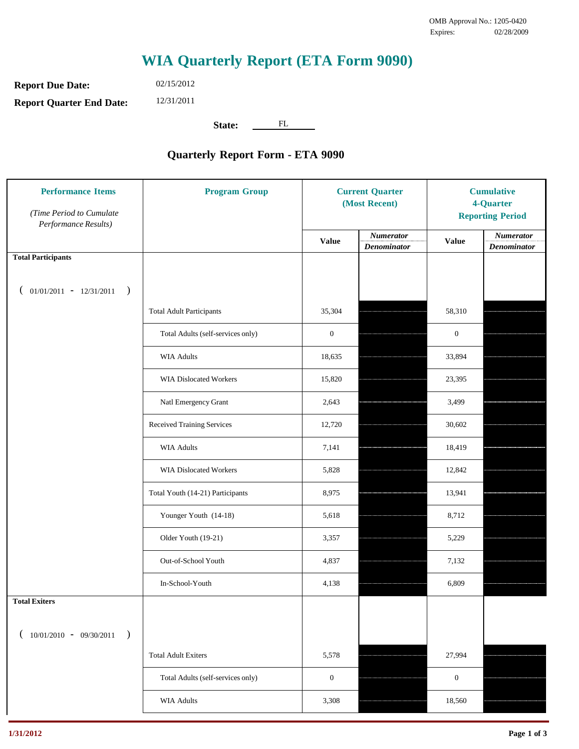## **WIA Quarterly Report (ETA Form 9090)**

**Report Due Date: Report Quarter End Date:** 02/15/2012 12/31/2011

State: <u>FL</u>

## **Quarterly Report Form - ETA 9090**

| <b>Performance Items</b><br>(Time Period to Cumulate<br>Performance Results) | <b>Program Group</b>              | <b>Current Quarter</b><br>(Most Recent) |                                        | <b>Cumulative</b><br>4-Quarter<br><b>Reporting Period</b> |                                        |
|------------------------------------------------------------------------------|-----------------------------------|-----------------------------------------|----------------------------------------|-----------------------------------------------------------|----------------------------------------|
|                                                                              |                                   | <b>Value</b>                            | <b>Numerator</b><br><b>Denominator</b> | <b>Value</b>                                              | <b>Numerator</b><br><b>Denominator</b> |
| <b>Total Participants</b>                                                    |                                   |                                         |                                        |                                                           |                                        |
| $01/01/2011 - 12/31/2011$ )<br>€                                             |                                   |                                         |                                        |                                                           |                                        |
|                                                                              | <b>Total Adult Participants</b>   | 35,304                                  |                                        | 58,310                                                    |                                        |
|                                                                              | Total Adults (self-services only) | $\boldsymbol{0}$                        |                                        | $\boldsymbol{0}$                                          |                                        |
|                                                                              | <b>WIA Adults</b>                 | 18,635                                  |                                        | 33,894                                                    |                                        |
|                                                                              | <b>WIA Dislocated Workers</b>     | 15,820                                  |                                        | 23,395                                                    |                                        |
|                                                                              | Natl Emergency Grant              | 2,643                                   |                                        | 3,499                                                     |                                        |
|                                                                              | Received Training Services        | 12,720                                  |                                        | 30,602                                                    |                                        |
|                                                                              | <b>WIA Adults</b>                 | 7,141                                   |                                        | 18,419                                                    |                                        |
|                                                                              | <b>WIA Dislocated Workers</b>     | 5,828                                   |                                        | 12,842                                                    |                                        |
|                                                                              | Total Youth (14-21) Participants  | 8,975                                   |                                        | 13,941                                                    |                                        |
|                                                                              | Younger Youth (14-18)             | 5,618                                   |                                        | 8,712                                                     |                                        |
|                                                                              | Older Youth (19-21)               | 3,357                                   |                                        | 5,229                                                     |                                        |
|                                                                              | Out-of-School Youth               | 4,837                                   |                                        | 7,132                                                     |                                        |
|                                                                              | In-School-Youth                   | 4,138                                   |                                        | 6,809                                                     |                                        |
| <b>Total Exiters</b>                                                         |                                   |                                         |                                        |                                                           |                                        |
| $(10/01/2010 - 09/30/2011$<br>$\rightarrow$                                  |                                   |                                         |                                        |                                                           |                                        |
|                                                                              | <b>Total Adult Exiters</b>        | 5,578                                   |                                        | 27,994                                                    |                                        |
|                                                                              | Total Adults (self-services only) | $\boldsymbol{0}$                        |                                        | $\boldsymbol{0}$                                          |                                        |
|                                                                              | <b>WIA Adults</b>                 | 3,308                                   |                                        | 18,560                                                    |                                        |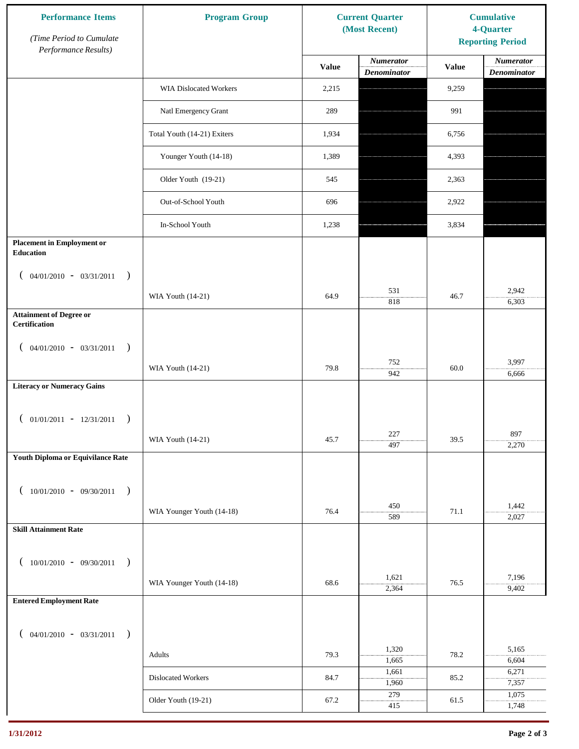| <b>Performance Items</b><br>(Time Period to Cumulate   | <b>Program Group</b>          | <b>Current Quarter</b><br>(Most Recent) |                                 | <b>Cumulative</b><br>4-Quarter<br><b>Reporting Period</b> |                          |
|--------------------------------------------------------|-------------------------------|-----------------------------------------|---------------------------------|-----------------------------------------------------------|--------------------------|
| Performance Results)                                   |                               | <b>Value</b>                            | <b>Numerator</b><br>Denominator | <b>Value</b>                                              | Numerator<br>Denominator |
|                                                        | <b>WIA Dislocated Workers</b> | 2,215                                   |                                 | 9,259                                                     |                          |
|                                                        | Natl Emergency Grant          | 289                                     |                                 | 991                                                       |                          |
|                                                        | Total Youth (14-21) Exiters   | 1,934                                   |                                 | 6,756                                                     |                          |
|                                                        | Younger Youth (14-18)         | 1,389                                   |                                 | 4,393                                                     |                          |
|                                                        | Older Youth (19-21)           | 545                                     |                                 | 2,363                                                     |                          |
|                                                        | Out-of-School Youth           | 696                                     |                                 | 2,922                                                     |                          |
|                                                        | In-School Youth               | 1,238                                   |                                 | 3,834                                                     |                          |
| <b>Placement in Employment or</b><br>Education         |                               |                                         |                                 |                                                           |                          |
| $($ 04/01/2010 - 03/31/2011<br>$\mathcal{E}$           | WIA Youth (14-21)             | 64.9                                    | 531                             | 46.7                                                      | 2,942                    |
| <b>Attainment of Degree or</b><br><b>Certification</b> |                               |                                         | 818                             |                                                           | 6,303                    |
| $($ 04/01/2010 - 03/31/2011<br>$\lambda$               |                               |                                         |                                 |                                                           |                          |
|                                                        | WIA Youth (14-21)             | 79.8                                    | 752<br>942                      | 60.0                                                      | 3,997<br>6,666           |
| <b>Literacy or Numeracy Gains</b>                      |                               |                                         |                                 |                                                           |                          |
| $($ 01/01/2011 - 12/31/2011<br>$\lambda$               |                               |                                         |                                 |                                                           |                          |
|                                                        | WIA Youth (14-21)             | 45.7                                    | 227<br>497                      | 39.5                                                      | 897<br>2,270             |
| <b>Youth Diploma or Equivilance Rate</b>               |                               |                                         |                                 |                                                           |                          |
| $(10/01/2010 - 09/30/2011$<br>$\lambda$                |                               |                                         |                                 |                                                           |                          |
|                                                        | WIA Younger Youth (14-18)     | 76.4                                    | 450<br>589                      | 71.1                                                      | 1,442<br>2,027           |
| <b>Skill Attainment Rate</b>                           |                               |                                         |                                 |                                                           |                          |
| $(10/01/2010 - 09/30/2011$<br>$\mathcal{L}$            |                               |                                         |                                 |                                                           |                          |
|                                                        | WIA Younger Youth (14-18)     | 68.6                                    | 1,621<br>2,364                  | 76.5                                                      | 7,196<br>9,402           |
| <b>Entered Employment Rate</b>                         |                               |                                         |                                 |                                                           |                          |
| $($ 04/01/2010 - 03/31/2011<br>$\lambda$               |                               |                                         |                                 |                                                           |                          |
|                                                        | Adults                        | 79.3                                    | 1,320<br>1,665                  | 78.2                                                      | 5,165<br>6,604           |
|                                                        | Dislocated Workers            | 84.7                                    | 1,661<br>1,960                  | 85.2                                                      | 6,271<br>7,357           |
|                                                        | Older Youth (19-21)           | 67.2                                    | 279<br>415                      | 61.5                                                      | 1,075<br>1,748           |